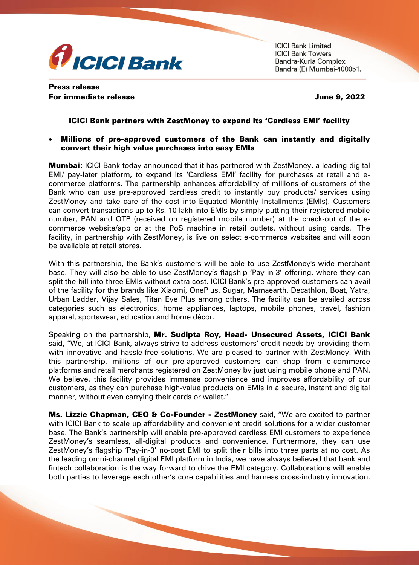

**ICICI Bank Limited ICICI Bank Towers** Bandra-Kurla Complex Bandra (E) Mumbai-400051.

# Press release For immediate release June 9, 2022

## ICICI Bank partners with ZestMoney to expand its 'Cardless EMI' facility

#### Millions of pre-approved customers of the Bank can instantly and digitally convert their high value purchases into easy EMIs

**Mumbai:** ICICI Bank today announced that it has partnered with ZestMoney, a leading digital EMI/ pay-later platform, to expand its 'Cardless EMI' facility for purchases at retail and ecommerce platforms. The partnership enhances affordability of millions of customers of the Bank who can use pre-approved cardless credit to instantly buy products/ services using ZestMoney and take care of the cost into Equated Monthly Installments (EMIs). Customers can convert transactions up to Rs. 10 lakh into EMIs by simply putting their registered mobile number, PAN and OTP (received on registered mobile number) at the check-out of the ecommerce website/app or at the PoS machine in retail outlets, without using cards. The facility, in partnership with ZestMoney, is live on select e-commerce websites and will soon be available at retail stores.

With this partnership, the Bank's customers will be able to use ZestMoney's wide merchant base. They will also be able to use ZestMoney's flagship 'Pay-in-3' offering, where they can split the bill into three EMIs without extra cost. ICICI Bank's pre-approved customers can avail of the facility for the brands like Xiaomi, OnePlus, Sugar, Mamaearth, Decathlon, Boat, Yatra, Urban Ladder, Vijay Sales, Titan Eye Plus among others. The facility can be availed across categories such as electronics, home appliances, laptops, mobile phones, travel, fashion apparel, sportswear, education and home décor.

Speaking on the partnership, Mr. Sudipta Roy, Head- Unsecured Assets, ICICI Bank said, "We, at ICICI Bank, always strive to address customers' credit needs by providing them with innovative and hassle-free solutions. We are pleased to partner with ZestMoney. With this partnership, millions of our pre-approved customers can shop from e-commerce platforms and retail merchants registered on ZestMoney by just using mobile phone and PAN. We believe, this facility provides immense convenience and improves affordability of our customers, as they can purchase high-value products on EMIs in a secure, instant and digital manner, without even carrying their cards or wallet."

Ms. Lizzie Chapman, CEO & Co-Founder - ZestMoney said, "We are excited to partner with ICICI Bank to scale up affordability and convenient credit solutions for a wider customer base. The Bank's partnership will enable pre-approved cardless EMI customers to experience ZestMoney's seamless, all-digital products and convenience. Furthermore, they can use ZestMoney's flagship 'Pay-in-3' no-cost EMI to split their bills into three parts at no cost. As the leading omni-channel digital EMI platform in India, we have always believed that bank and fintech collaboration is the way forward to drive the EMI category. Collaborations will enable both parties to leverage each other's core capabilities and harness cross-industry innovation.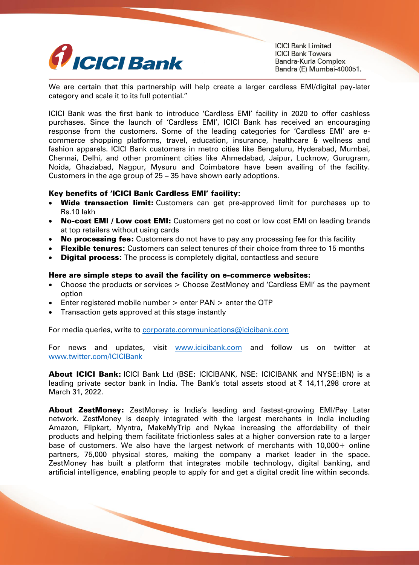

**ICICI Bank Limited ICICI Bank Towers** Bandra-Kurla Complex Bandra (E) Mumbai-400051.

We are certain that this partnership will help create a larger cardless EMI/digital pay-later category and scale it to its full potential."

ICICI Bank was the first bank to introduce 'Cardless EMI' facility in 2020 to offer cashless purchases. Since the launch of 'Cardless EMI', ICICI Bank has received an encouraging response from the customers. Some of the leading categories for 'Cardless EMI' are ecommerce shopping platforms, travel, education, insurance, healthcare & wellness and fashion apparels. ICICI Bank customers in metro cities like Bengaluru, Hyderabad, Mumbai, Chennai, Delhi, and other prominent cities like Ahmedabad, Jaipur, Lucknow, Gurugram, Noida, Ghaziabad, Nagpur, Mysuru and Coimbatore have been availing of the facility. Customers in the age group of 25 – 35 have shown early adoptions.

### Key benefits of 'ICICI Bank Cardless EMI' facility:

- Wide transaction limit: Customers can get pre-approved limit for purchases up to Rs.10 lakh
- No-cost EMI / Low cost EMI: Customers get no cost or low cost EMI on leading brands at top retailers without using cards
- No processing fee: Customers do not have to pay any processing fee for this facility
- Flexible tenures: Customers can select tenures of their choice from three to 15 months
- **Digital process:** The process is completely digital, contactless and secure

#### Here are simple steps to avail the facility on e-commerce websites:

- Choose the products or services > Choose ZestMoney and 'Cardless EMI' as the payment option
- Enter registered mobile number > enter PAN > enter the OTP
- Transaction gets approved at this stage instantly

For media queries, write to [corporate.communications@icicibank.com](mailto:corporate.communications@icicibank.com)

For news and updates, visit [www.icicibank.com](http://secure-web.cisco.com/1NCo0DTVQxn0uR78921QzNBwaNrmpNG6tbBocaOs1m87y2wv4zrf68kB-7E5VeZUjVGKNSrBPOOWcCxt3FVfC1NRzjCLEuF03oIITma3NHxILZ_eK3UgGlwJJIzuG1mK1HywY8wjv75Yy1g-krGbJKISkc8RmLivcwPDPayvE_cL23OTuX2-it7x8M17Mp1Jki4m3fj5BojS0OWEsAmQdxz86MYZBfDjbqw8X7THZ2cFldeiNv9w2kI1k594fkyrsmC4469DEJ7VvekBBpLZKepMM-y0bMzD4B6lv3yc784Stla2B1ysdR0yRxUW8IVuU/http%3A%2F%2Fwww.icicibank.com) and follow us on twitter at [www.twitter.com/ICICIBank](http://secure-web.cisco.com/1YjjvUjkMUVSw2d4DMf4Fqzh3leyZzTyv-T-VWX6th3MaD1iiNDb-BHnj9jS1gJ56xPHYL8kxjphIN5x7Fe7s0BoCr4uTfaKrkH04Iym23TuSDv2ip2pe2tnXGGSiGq_NeeM3qRbGUQaGncqw4sOmqUTXpXASzk4KRmr5DNZ1kGTX8WsFef71mU6e-3wL7pZXCJX-eVoX30A1nXELa_Pl5l8iCxVgHLmLHSLgLM8581m8Hc4NM87Ja69MdLFSRO5gfowoEnM6fNzmvRliJ_zioORHQ7fAgjIXFsTxhRYMKe99n95yy8T37NOU9qwYnanY/http%3A%2F%2Fwww.twitter.com%2FICICIBank)

About ICICI Bank: ICICI Bank Ltd (BSE: ICICIBANK, NSE: ICICIBANK and NYSE:IBN) is a leading private sector bank in India. The Bank's total assets stood at ₹ 14,11,298 crore at March 31, 2022.

About ZestMoney: ZestMoney is India's leading and fastest-growing EMI/Pay Later network. ZestMoney is deeply integrated with the largest merchants in India including Amazon, Flipkart, Myntra, MakeMyTrip and Nykaa increasing the affordability of their products and helping them facilitate frictionless sales at a higher conversion rate to a larger base of customers. We also have the largest network of merchants with 10,000+ online partners, 75,000 physical stores, making the company a market leader in the space. ZestMoney has built a platform that integrates mobile technology, digital banking, and artificial intelligence, enabling people to apply for and get a digital credit line within seconds.